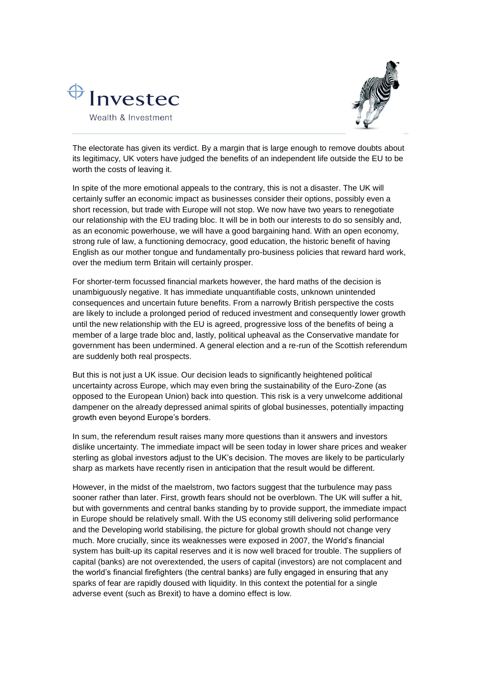



The electorate has given its verdict. By a margin that is large enough to remove doubts about its legitimacy, UK voters have judged the benefits of an independent life outside the EU to be worth the costs of leaving it.

In spite of the more emotional appeals to the contrary, this is not a disaster. The UK will certainly suffer an economic impact as businesses consider their options, possibly even a short recession, but trade with Europe will not stop. We now have two years to renegotiate our relationship with the EU trading bloc. It will be in both our interests to do so sensibly and, as an economic powerhouse, we will have a good bargaining hand. With an open economy, strong rule of law, a functioning democracy, good education, the historic benefit of having English as our mother tongue and fundamentally pro-business policies that reward hard work, over the medium term Britain will certainly prosper.

For shorter-term focussed financial markets however, the hard maths of the decision is unambiguously negative. It has immediate unquantifiable costs, unknown unintended consequences and uncertain future benefits. From a narrowly British perspective the costs are likely to include a prolonged period of reduced investment and consequently lower growth until the new relationship with the EU is agreed, progressive loss of the benefits of being a member of a large trade bloc and, lastly, political upheaval as the Conservative mandate for government has been undermined. A general election and a re-run of the Scottish referendum are suddenly both real prospects.

But this is not just a UK issue. Our decision leads to significantly heightened political uncertainty across Europe, which may even bring the sustainability of the Euro-Zone (as opposed to the European Union) back into question. This risk is a very unwelcome additional dampener on the already depressed animal spirits of global businesses, potentially impacting growth even beyond Europe's borders.

In sum, the referendum result raises many more questions than it answers and investors dislike uncertainty. The immediate impact will be seen today in lower share prices and weaker sterling as global investors adjust to the UK's decision. The moves are likely to be particularly sharp as markets have recently risen in anticipation that the result would be different.

However, in the midst of the maelstrom, two factors suggest that the turbulence may pass sooner rather than later. First, growth fears should not be overblown. The UK will suffer a hit, but with governments and central banks standing by to provide support, the immediate impact in Europe should be relatively small. With the US economy still delivering solid performance and the Developing world stabilising, the picture for global growth should not change very much. More crucially, since its weaknesses were exposed in 2007, the World's financial system has built-up its capital reserves and it is now well braced for trouble. The suppliers of capital (banks) are not overextended, the users of capital (investors) are not complacent and the world's financial firefighters (the central banks) are fully engaged in ensuring that any sparks of fear are rapidly doused with liquidity. In this context the potential for a single adverse event (such as Brexit) to have a domino effect is low.